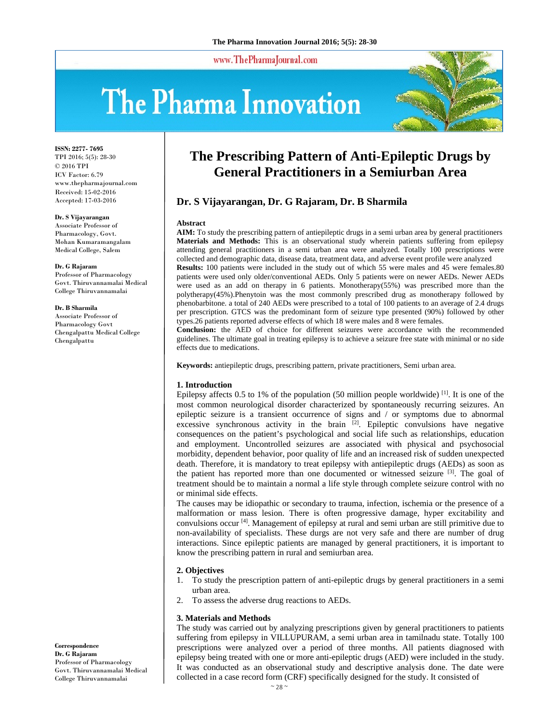www.ThePharmaJournal.com

# The Pharma Innovation



**ISSN: 2277- 7695** TPI 2016; 5(5): 28-30 © 2016 TPI ICV Factor: 6.79 www.thepharmajournal.com Received: 15-02-2016 Accepted: 17-03-2016

#### **Dr. S Vijayarangan**

Associate Professor of Pharmacology, Govt. Mohan Kumaramangalam Medical College, Salem

#### **Dr. G Rajaram**

Professor of Pharmacology Govt. Thiruvannamalai Medical College Thiruvannamalai

#### **Dr. B Sharmila**

Associate Professor of Pharmacology Govt Chengalpattu Medical College Chengalpattu

# **The Prescribing Pattern of Anti-Epileptic Drugs by General Practitioners in a Semiurban Area**

# **Dr. S Vijayarangan, Dr. G Rajaram, Dr. B Sharmila**

#### **Abstract**

**AIM:** To study the prescribing pattern of antiepileptic drugs in a semi urban area by general practitioners **Materials and Methods:** This is an observational study wherein patients suffering from epilepsy attending general practitioners in a semi urban area were analyzed. Totally 100 prescriptions were collected and demographic data, disease data, treatment data, and adverse event profile were analyzed **Results:** 100 patients were included in the study out of which 55 were males and 45 were females.80

patients were used only older/conventional AEDs. Only 5 patients were on newer AEDs. Newer AEDs were used as an add on therapy in 6 patients. Monotherapy(55%) was prescribed more than the polytherapy(45%).Phenytoin was the most commonly prescribed drug as monotherapy followed by phenobarbitone. a total of 240 AEDs were prescribed to a total of 100 patients to an average of 2.4 drugs per prescription. GTCS was the predominant form of seizure type presented (90%) followed by other types.26 patients reported adverse effects of which 18 were males and 8 were females.

**Conclusion:** the AED of choice for different seizures were accordance with the recommended guidelines. The ultimate goal in treating epilepsy is to achieve a seizure free state with minimal or no side effects due to medications.

**Keywords:** antiepileptic drugs, prescribing pattern, private practitioners, Semi urban area.

#### **1. Introduction**

Epilepsy affects 0.5 to 1% of the population (50 million people worldwide)  $^{[1]}$ . It is one of the most common neurological disorder characterized by spontaneously recurring seizures. An epileptic seizure is a transient occurrence of signs and / or symptoms due to abnormal excessive synchronous activity in the brain  $[2]$ . Epileptic convulsions have negative consequences on the patient's psychological and social life such as relationships, education and employment. Uncontrolled seizures are associated with physical and psychosocial morbidity, dependent behavior, poor quality of life and an increased risk of sudden unexpected death. Therefore, it is mandatory to treat epilepsy with antiepileptic drugs (AEDs) as soon as the patient has reported more than one documented or witnessed seizure  $[3]$ . The goal of treatment should be to maintain a normal a life style through complete seizure control with no or minimal side effects.

The causes may be idiopathic or secondary to trauma, infection, ischemia or the presence of a malformation or mass lesion. There is often progressive damage, hyper excitability and convulsions occur [4]. Management of epilepsy at rural and semi urban are still primitive due to non-availability of specialists. These durgs are not very safe and there are number of drug interactions. Since epileptic patients are managed by general practitioners, it is important to know the prescribing pattern in rural and semiurban area.

#### **2. Objectives**

- 1. To study the prescription pattern of anti-epileptic drugs by general practitioners in a semi urban area.
- 2. To assess the adverse drug reactions to AEDs.

#### **3. Materials and Methods**

The study was carried out by analyzing prescriptions given by general practitioners to patients suffering from epilepsy in VILLUPURAM, a semi urban area in tamilnadu state. Totally 100 prescriptions were analyzed over a period of three months. All patients diagnosed with epilepsy being treated with one or more anti-epileptic drugs (AED) were included in the study. It was conducted as an observational study and descriptive analysis done. The date were collected in a case record form (CRF) specifically designed for the study. It consisted of

#### **Correspondence**

**Dr. G Rajaram**  Professor of Pharmacology Govt. Thiruvannamalai Medical College Thiruvannamalai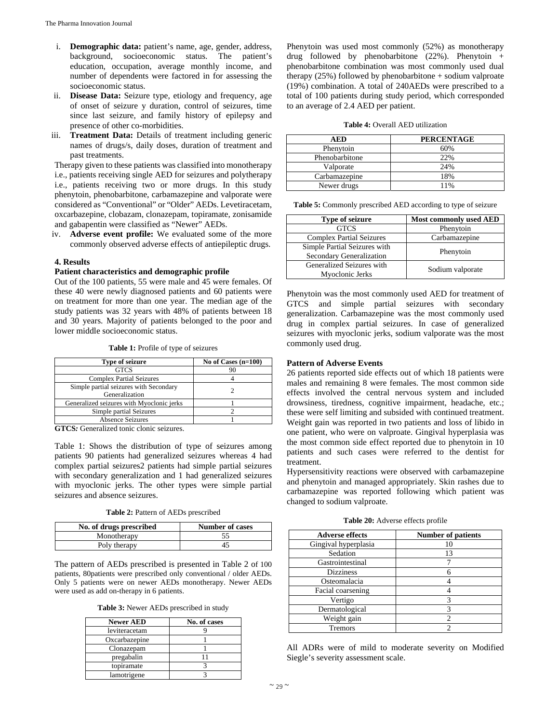- i. **Demographic data:** patient's name, age, gender, address, background, socioeconomic status. The patient's education, occupation, average monthly income, and number of dependents were factored in for assessing the socioeconomic status.
- ii. **Disease Data:** Seizure type, etiology and frequency, age of onset of seizure y duration, control of seizures, time since last seizure, and family history of epilepsy and presence of other co-morbidities.
- iii. **Treatment Data:** Details of treatment including generic names of drugs/s, daily doses, duration of treatment and past treatments.

Therapy given to these patients was classified into monotherapy i.e., patients receiving single AED for seizures and polytherapy i.e., patients receiving two or more drugs. In this study phenytoin, phenobarbitone, carbamazepine and valporate were considered as "Conventional" or "Older" AEDs. Levetiracetam, oxcarbazepine, clobazam, clonazepam, topiramate, zonisamide and gabapentin were classified as "Newer" AEDs.

iv. **Adverse event profile:** We evaluated some of the more commonly observed adverse effects of antiepileptic drugs.

#### **4. Results**

### **Patient characteristics and demographic profile**

Out of the 100 patients, 55 were male and 45 were females. Of these 40 were newly diagnosed patients and 60 patients were on treatment for more than one year. The median age of the study patients was 32 years with 48% of patients between 18 and 30 years. Majority of patients belonged to the poor and lower middle socioeconomic status.

**Table 1:** Profile of type of seizures

| <b>Type of seizure</b>                                   | No of Cases $(n=100)$ |
|----------------------------------------------------------|-----------------------|
| <b>GTCS</b>                                              |                       |
| <b>Complex Partial Seizures</b>                          |                       |
| Simple partial seizures with Secondary<br>Generalization |                       |
| Generalized seizures with Myoclonic jerks                |                       |
| Simple partial Seizures                                  |                       |
| Absence Seizures                                         |                       |

**GTCS***:* Generalized tonic clonic seizures.

Table 1: Shows the distribution of type of seizures among patients 90 patients had generalized seizures whereas 4 had complex partial seizures2 patients had simple partial seizures with secondary generalization and 1 had generalized seizures with myoclonic jerks. The other types were simple partial seizures and absence seizures.

**Table 2:** Pattern of AEDs prescribed

| No. of drugs prescribed | <b>Number of cases</b> |
|-------------------------|------------------------|
| Monotherapy             |                        |
| Poly therapy            |                        |

The pattern of AEDs prescribed is presented in Table 2 of 100 patients, 80patients were prescribed only conventional / older AEDs. Only 5 patients were on newer AEDs monotherapy. Newer AEDs were used as add on-therapy in 6 patients.

**Table 3:** Newer AEDs prescribed in study

| <b>Newer AED</b> | No. of cases |
|------------------|--------------|
| leviteracetam    |              |
| Oxcarbazepine    |              |
| Clonazepam       |              |
| pregabalin       |              |
| topiramate       |              |
| lamotrigene      |              |

Phenytoin was used most commonly (52%) as monotherapy drug followed by phenobarbitone  $(22%)$ . Phenytoin + phenobarbitone combination was most commonly used dual therapy (25%) followed by phenobarbitone + sodium valproate (19%) combination. A total of 240AEDs were prescribed to a total of 100 patients during study period, which corresponded to an average of 2.4 AED per patient.

#### **Table 4:** Overall AED utilization

| AED            | <b>PERCENTAGE</b> |
|----------------|-------------------|
| Phenytoin      | 60%               |
| Phenobarbitone | 22%               |
| Valporate      | 24%               |
| Carbamazepine  | 18%               |
| Newer drugs    | 11%               |

| <b>Table 5:</b> Commonly prescribed AED according to type of seizure |
|----------------------------------------------------------------------|
|----------------------------------------------------------------------|

| <b>Type of seizure</b>          | <b>Most commonly used AED</b> |
|---------------------------------|-------------------------------|
| <b>GTCS</b>                     | Phenytoin                     |
| <b>Complex Partial Seizures</b> | Carbamazepine                 |
| Simple Partial Seizures with    | Phenytoin                     |
| Secondary Generalization        |                               |
| Generalized Seizures with       | Sodium valporate              |
| Myoclonic Jerks                 |                               |

Phenytoin was the most commonly used AED for treatment of GTCS and simple partial seizures with secondary generalization. Carbamazepine was the most commonly used drug in complex partial seizures. In case of generalized seizures with myoclonic jerks, sodium valporate was the most commonly used drug.

#### **Pattern of Adverse Events**

26 patients reported side effects out of which 18 patients were males and remaining 8 were females. The most common side effects involved the central nervous system and included drowsiness, tiredness, cognitive impairment, headache, etc.; these were self limiting and subsided with continued treatment. Weight gain was reported in two patients and loss of libido in one patient, who were on valproate. Gingival hyperplasia was the most common side effect reported due to phenytoin in 10 patients and such cases were referred to the dentist for treatment.

Hypersensitivity reactions were observed with carbamazepine and phenytoin and managed appropriately. Skin rashes due to carbamazepine was reported following which patient was changed to sodium valproate.

**Table 20:** Adverse effects profile

| <b>Adverse effects</b> | <b>Number of patients</b> |
|------------------------|---------------------------|
| Gingival hyperplasia   | 10                        |
| Sedation               | 13                        |
| Gastrointestinal       |                           |
| <b>Dizziness</b>       |                           |
| Osteomalacia           |                           |
| Facial coarsening      |                           |
| Vertigo                | 3                         |
| Dermatological         | 3                         |
| Weight gain            |                           |
| <b>Tremors</b>         |                           |

All ADRs were of mild to moderate severity on Modified Siegle's severity assessment scale.